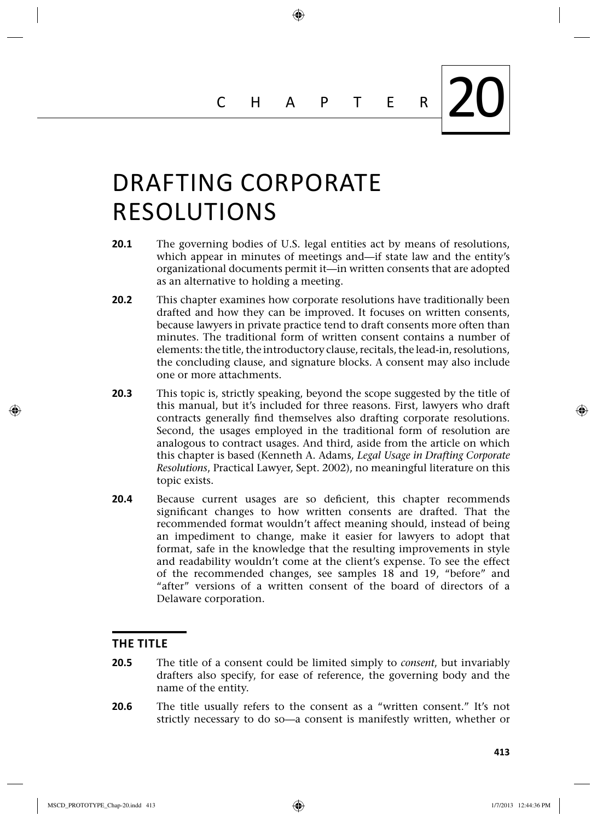# DRAFTING CORPORATE RESOLUTIONS

- **20.1** The governing bodies of U.S. legal entities act by means of resolutions, which appear in minutes of meetings and—if state law and the entity's organizational documents permit it—in written consents that are adopted as an alternative to holding a meeting.
- **20.2** This chapter examines how corporate resolutions have traditionally been drafted and how they can be improved. It focuses on written consents, because lawyers in private practice tend to draft consents more often than minutes. The traditional form of written consent contains a number of elements: the title, the introductory clause, recitals, the lead-in, resolutions, the concluding clause, and signature blocks. A consent may also include one or more attachments.
- **20.3** This topic is, strictly speaking, beyond the scope suggested by the title of this manual, but it's included for three reasons. First, lawyers who draft contracts generally find themselves also drafting corporate resolutions. Second, the usages employed in the traditional form of resolution are analogous to contract usages. And third, aside from the article on which this chapter is based (Kenneth A. Adams, *Legal Usage in Drafting Corporate Resolutions*, Practical Lawyer, Sept. 2002), no meaningful literature on this topic exists.
- **20.4** Because current usages are so deficient, this chapter recommends significant changes to how written consents are drafted. That the recommended format wouldn't affect meaning should, instead of being an impediment to change, make it easier for lawyers to adopt that format, safe in the knowledge that the resulting improvements in style and readability wouldn't come at the client's expense. To see the effect of the recommended changes, see samples 18 and 19, "before" and "after" versions of a written consent of the board of directors of a Delaware corporation.

## **THE TITLE**

- **20.5** The title of a consent could be limited simply to *consent*, but invariably drafters also specify, for ease of reference, the governing body and the name of the entity.
- **20.6** The title usually refers to the consent as a "written consent." It's not strictly necessary to do so—a consent is manifestly written, whether or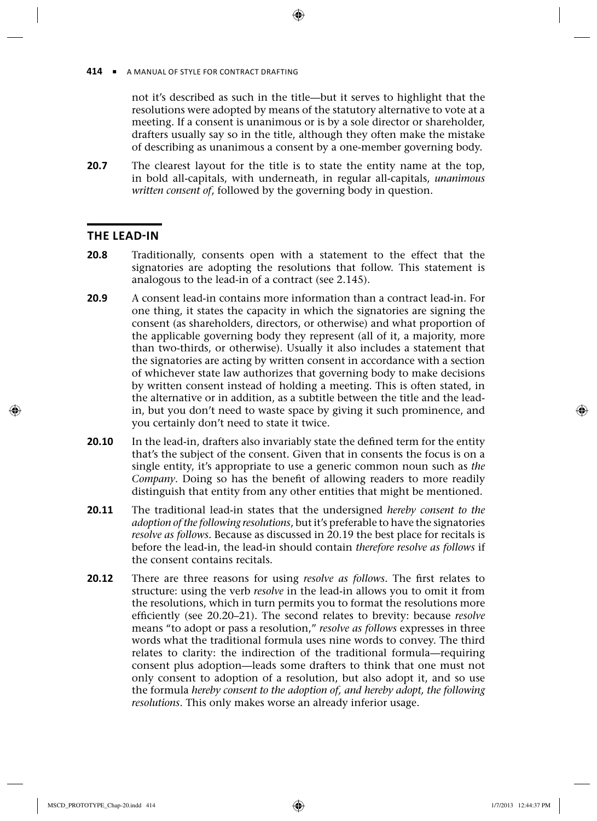not it's described as such in the title—but it serves to highlight that the resolutions were adopted by means of the statutory alternative to vote at a meeting. If a consent is unanimous or is by a sole director or shareholder, drafters usually say so in the title, although they often make the mistake of describing as unanimous a consent by a one-member governing body.

**20.7** The clearest layout for the title is to state the entity name at the top, in bold all-capitals, with underneath, in regular all-capitals, *unanimous written consent of*, followed by the governing body in question.

# **THE LEAD-IN**

- **20.8** Traditionally, consents open with a statement to the effect that the signatories are adopting the resolutions that follow. This statement is analogous to the lead-in of a contract (see 2.145).
- **20.9** A consent lead-in contains more information than a contract lead-in. For one thing, it states the capacity in which the signatories are signing the consent (as shareholders, directors, or otherwise) and what proportion of the applicable governing body they represent (all of it, a majority, more than two-thirds, or otherwise). Usually it also includes a statement that the signatories are acting by written consent in accordance with a section of whichever state law authorizes that governing body to make decisions by written consent instead of holding a meeting. This is often stated, in the alternative or in addition, as a subtitle between the title and the leadin, but you don't need to waste space by giving it such prominence, and you certainly don't need to state it twice.
- **20.10** In the lead-in, drafters also invariably state the defined term for the entity that's the subject of the consent. Given that in consents the focus is on a single entity, it's appropriate to use a generic common noun such as *the Company*. Doing so has the benefit of allowing readers to more readily distinguish that entity from any other entities that might be mentioned.
- **20.11** The traditional lead-in states that the undersigned *hereby consent to the adoption of the following resolutions*, but it's preferable to have the signatories *resolve as follows.* Because as discussed in 20.19 the best place for recitals is before the lead-in, the lead-in should contain *therefore resolve as follows* if the consent contains recitals.
- **20.12** There are three reasons for using *resolve as follows*. The first relates to structure: using the verb *resolve* in the lead-in allows you to omit it from the resolutions, which in turn permits you to format the resolutions more efficiently (see 20.20–21). The second relates to brevity: because *resolve* means "to adopt or pass a resolution," *resolve as follows* expresses in three words what the traditional formula uses nine words to convey. The third relates to clarity: the indirection of the traditional formula—requiring consent plus adoption—leads some drafters to think that one must not only consent to adoption of a resolution, but also adopt it, and so use the formula *hereby consent to the adoption of, and hereby adopt, the following resolutions*. This only makes worse an already inferior usage.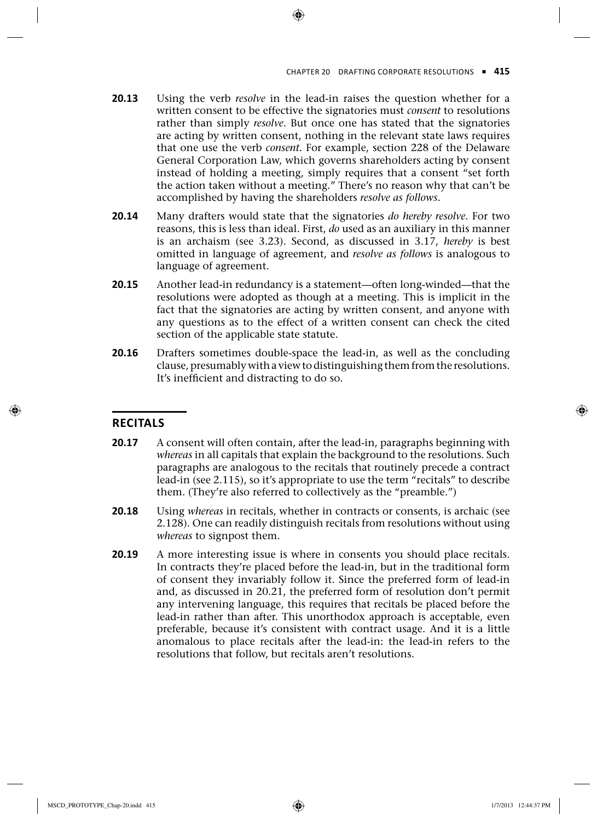- **20.13** Using the verb *resolve* in the lead-in raises the question whether for a written consent to be effective the signatories must *consent* to resolutions rather than simply *resolve*. But once one has stated that the signatories are acting by written consent, nothing in the relevant state laws requires that one use the verb *consent.* For example, section 228 of the Delaware General Corporation Law, which governs shareholders acting by consent instead of holding a meeting, simply requires that a consent "set forth the action taken without a meeting." There's no reason why that can't be accomplished by having the shareholders *resolve as follows*.
- **20.14** Many drafters would state that the signatories *do hereby resolve*. For two reasons, this is less than ideal. First, *do* used as an auxiliary in this manner is an archaism (see 3.23). Second, as discussed in 3.17, *hereby* is best omitted in language of agreement, and *resolve as follows* is analogous to language of agreement.
- **20.15** Another lead-in redundancy is a statement—often long-winded—that the resolutions were adopted as though at a meeting. This is implicit in the fact that the signatories are acting by written consent, and anyone with any questions as to the effect of a written consent can check the cited section of the applicable state statute.
- **20.16** Drafters sometimes double-space the lead-in, as well as the concluding clause, presumably with a view to distinguishing them from the resolutions. It's inefficient and distracting to do so.

# **RECITALS**

- **20.17** A consent will often contain, after the lead-in, paragraphs beginning with *whereas* in all capitals that explain the background to the resolutions. Such paragraphs are analogous to the recitals that routinely precede a contract lead-in (see 2.115), so it's appropriate to use the term "recitals" to describe them. (They're also referred to collectively as the "preamble.")
- **20.18** Using *whereas* in recitals, whether in contracts or consents, is archaic (see 2.128). One can readily distinguish recitals from resolutions without using *whereas* to signpost them.
- **20.19** A more interesting issue is where in consents you should place recitals. In contracts they're placed before the lead-in, but in the traditional form of consent they invariably follow it. Since the preferred form of lead-in and, as discussed in 20.21, the preferred form of resolution don't permit any intervening language, this requires that recitals be placed before the lead-in rather than after. This unorthodox approach is acceptable, even preferable, because it's consistent with contract usage. And it is a little anomalous to place recitals after the lead-in: the lead-in refers to the resolutions that follow, but recitals aren't resolutions.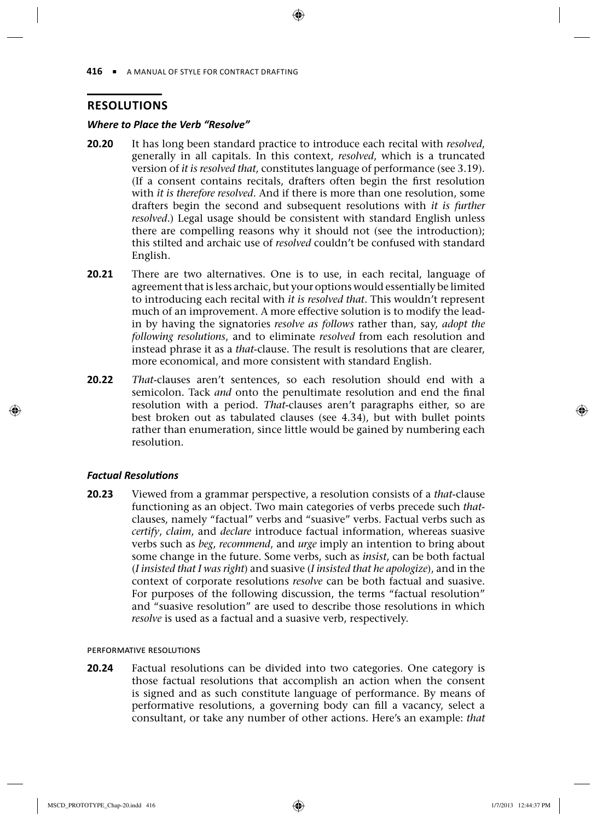# **RESOLUTIONS**

#### *Where to Place the Verb "Resolve"*

- **20.20** It has long been standard practice to introduce each recital with *resolved*, generally in all capitals. In this context, *resolved*, which is a truncated version of *it is resolved that*, constitutes language of performance (see 3.19)*.* (If a consent contains recitals, drafters often begin the first resolution with *it is therefore resolved*. And if there is more than one resolution, some drafters begin the second and subsequent resolutions with *it is further resolved*.) Legal usage should be consistent with standard English unless there are compelling reasons why it should not (see the introduction); this stilted and archaic use of *resolved* couldn't be confused with standard English.
- **20.21** There are two alternatives. One is to use, in each recital, language of agreement that is less archaic, but your options would essentially be limited to introducing each recital with *it is resolved that*. This wouldn't represent much of an improvement. A more effective solution is to modify the leadin by having the signatories *resolve as follows* rather than, say, *adopt the following resolutions*, and to eliminate *resolved* from each resolution and instead phrase it as a *that*-clause. The result is resolutions that are clearer, more economical, and more consistent with standard English.
- **20.22** *That*-clauses aren't sentences, so each resolution should end with a semicolon. Tack *and* onto the penultimate resolution and end the final resolution with a period. *That*-clauses aren't paragraphs either, so are best broken out as tabulated clauses (see 4.34), but with bullet points rather than enumeration, since little would be gained by numbering each resolution.

### **Factual Resolutions**

**20.23** Viewed from a grammar perspective, a resolution consists of a *that*-clause functioning as an object. Two main categories of verbs precede such *that*clauses, namely "factual" verbs and "suasive" verbs. Factual verbs such as *certify*, *claim*, and *declare* introduce factual information, whereas suasive verbs such as *beg*, *recommend*, and *urge* imply an intention to bring about some change in the future. Some verbs, such as *insist*, can be both factual (*I insisted that I was right*) and suasive (*I insisted that he apologize*), and in the context of corporate resolutions *resolve* can be both factual and suasive. For purposes of the following discussion, the terms "factual resolution" and "suasive resolution" are used to describe those resolutions in which *resolve* is used as a factual and a suasive verb, respectively.

#### PERFORMATIVE RESOLUTIONS

**20.24** Factual resolutions can be divided into two categories. One category is those factual resolutions that accomplish an action when the consent is signed and as such constitute language of performance. By means of performative resolutions, a governing body can fill a vacancy, select a consultant, or take any number of other actions. Here's an example: *that*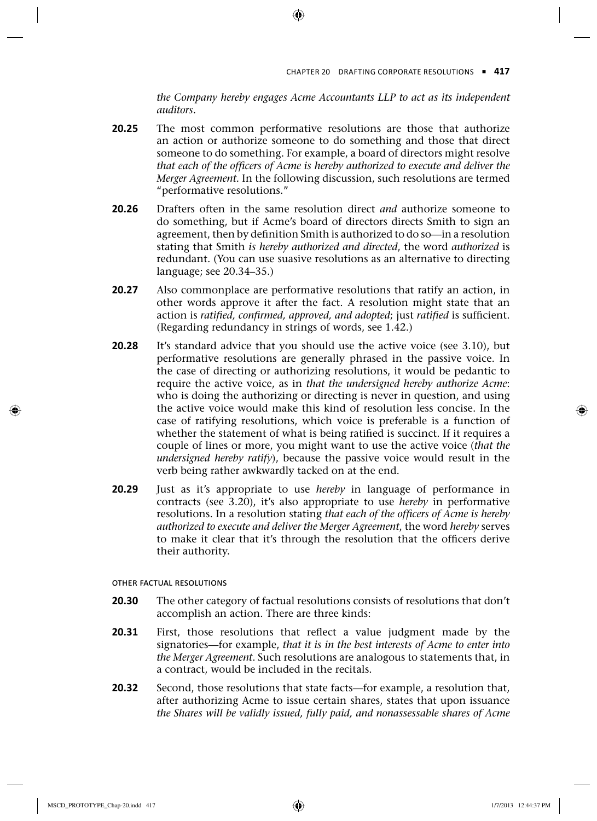*the Company hereby engages Acme Accountants LLP to act as its independent auditors*.

- **20.25** The most common performative resolutions are those that authorize an action or authorize someone to do something and those that direct someone to do something. For example, a board of directors might resolve *that each of the officers of Acme is hereby authorized to execute and deliver the Merger Agreement.* In the following discussion, such resolutions are termed "performative resolutions."
- **20.26** Drafters often in the same resolution direct *and* authorize someone to do something, but if Acme's board of directors directs Smith to sign an agreement, then by definition Smith is authorized to do so—in a resolution stating that Smith *is hereby authorized and directed*, the word *authorized* is redundant. (You can use suasive resolutions as an alternative to directing language; see 20.34–35.)
- **20.27** Also commonplace are performative resolutions that ratify an action, in other words approve it after the fact. A resolution might state that an action is *ratified, confirmed, approved, and adopted*; just *ratified* is sufficient. (Regarding redundancy in strings of words, see 1.42.)
- **20.28** It's standard advice that you should use the active voice (see 3.10), but performative resolutions are generally phrased in the passive voice. In the case of directing or authorizing resolutions, it would be pedantic to require the active voice, as in *that the undersigned hereby authorize Acme*: who is doing the authorizing or directing is never in question, and using the active voice would make this kind of resolution less concise. In the case of ratifying resolutions, which voice is preferable is a function of whether the statement of what is being ratified is succinct. If it requires a couple of lines or more, you might want to use the active voice (*that the undersigned hereby ratify*), because the passive voice would result in the verb being rather awkwardly tacked on at the end.
- **20.29** Just as it's appropriate to use *hereby* in language of performance in contracts (see 3.20), it's also appropriate to use *hereby* in performative resolutions. In a resolution stating *that each of the officers of Acme is hereby authorized to execute and deliver the Merger Agreement*, the word *hereby* serves to make it clear that it's through the resolution that the officers derive their authority.

#### OTHER FACTUAL RESOLUTIONS

- **20.30** The other category of factual resolutions consists of resolutions that don't accomplish an action. There are three kinds:
- **20.31** First, those resolutions that reflect a value judgment made by the signatories—for example, *that it is in the best interests of Acme to enter into the Merger Agreement*. Such resolutions are analogous to statements that, in a contract, would be included in the recitals.
- **20.32** Second, those resolutions that state facts—for example, a resolution that, after authorizing Acme to issue certain shares, states that upon issuance *the Shares will be validly issued, fully paid, and nonassessable shares of Acme*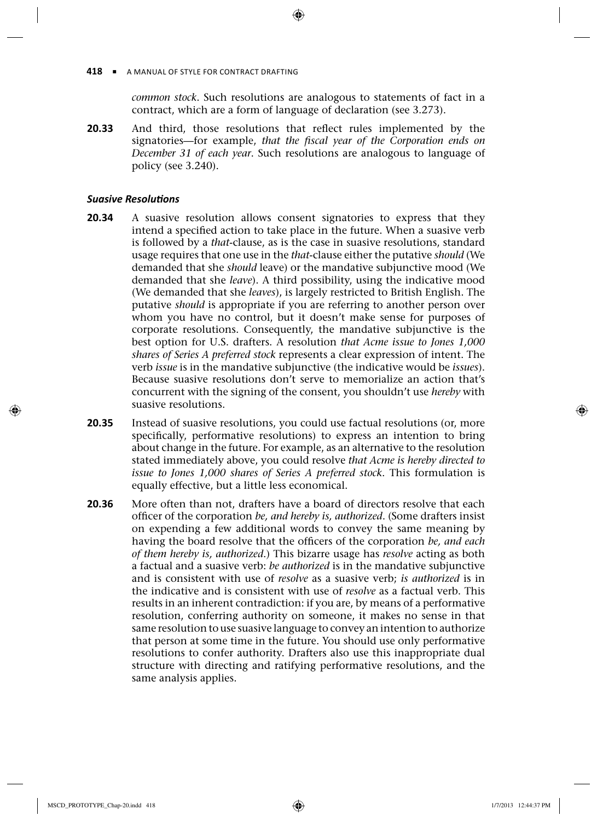*common stock*. Such resolutions are analogous to statements of fact in a contract, which are a form of language of declaration (see 3.273).

**20.33** And third, those resolutions that reflect rules implemented by the signatories—for example, *that the fiscal year of the Corporation ends on December 31 of each year*. Such resolutions are analogous to language of policy (see 3.240).

#### **Suasive Resolutions**

- **20.34** A suasive resolution allows consent signatories to express that they intend a specified action to take place in the future. When a suasive verb is followed by a *that*-clause, as is the case in suasive resolutions, standard usage requires that one use in the *that*-clause either the putative *should* (We demanded that she *should* leave) or the mandative subjunctive mood (We demanded that she *leave*). A third possibility, using the indicative mood (We demanded that she *leaves*), is largely restricted to British English. The putative *should* is appropriate if you are referring to another person over whom you have no control, but it doesn't make sense for purposes of corporate resolutions. Consequently, the mandative subjunctive is the best option for U.S. drafters. A resolution *that Acme issue to Jones 1,000 shares of Series A preferred stock* represents a clear expression of intent. The verb *issue* is in the mandative subjunctive (the indicative would be *issues*). Because suasive resolutions don't serve to memorialize an action that's concurrent with the signing of the consent, you shouldn't use *hereby* with suasive resolutions.
- **20.35** Instead of suasive resolutions, you could use factual resolutions (or, more specifically, performative resolutions) to express an intention to bring about change in the future. For example, as an alternative to the resolution stated immediately above, you could resolve *that Acme is hereby directed to issue to Jones 1,000 shares of Series A preferred stock*. This formulation is equally effective, but a little less economical.
- **20.36** More often than not, drafters have a board of directors resolve that each officer of the corporation *be, and hereby is, authorized*. (Some drafters insist on expending a few additional words to convey the same meaning by having the board resolve that the officers of the corporation *be, and each of them hereby is, authorized*.) This bizarre usage has *resolve* acting as both a factual and a suasive verb: *be authorized* is in the mandative subjunctive and is consistent with use of *resolve* as a suasive verb; *is authorized* is in the indicative and is consistent with use of *resolve* as a factual verb. This results in an inherent contradiction: if you are, by means of a performative resolution, conferring authority on someone, it makes no sense in that same resolution to use suasive language to convey an intention to authorize that person at some time in the future. You should use only performative resolutions to confer authority. Drafters also use this inappropriate dual structure with directing and ratifying performative resolutions, and the same analysis applies.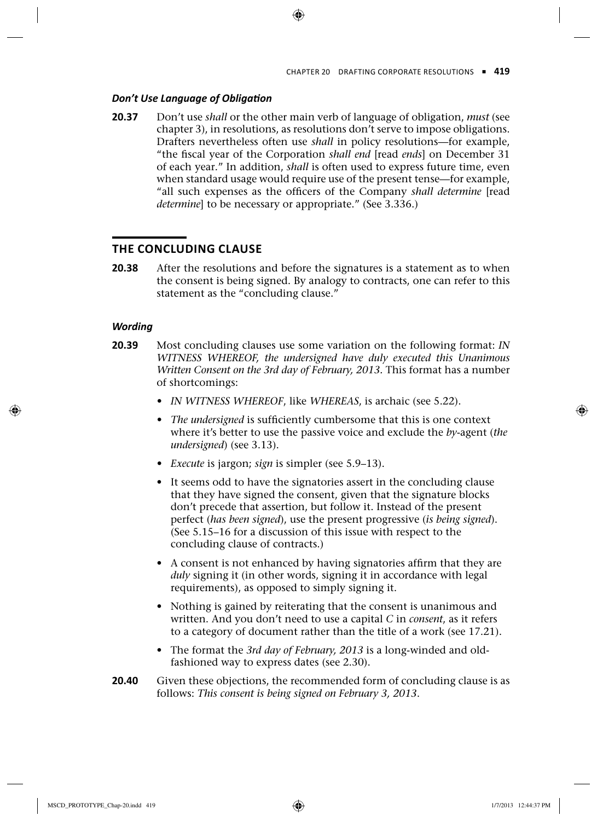#### *Don't Use Language of Obligation*

**20.37** Don't use *shall* or the other main verb of language of obligation, *must* (see chapter 3), in resolutions, as resolutions don't serve to impose obligations. Drafters nevertheless often use *shall* in policy resolutions—for example, "the fiscal year of the Corporation *shall end* [read *ends*] on December 31 of each year*.*" In addition, *shall* is often used to express future time, even when standard usage would require use of the present tense—for example, "all such expenses as the officers of the Company *shall determine* [read *determine*] to be necessary or appropriate." (See 3.336.)

## **THE CONCLUDING CLAUSE**

**20.38** After the resolutions and before the signatures is a statement as to when the consent is being signed. By analogy to contracts, one can refer to this statement as the "concluding clause."

#### *Wording*

- **20.39** Most concluding clauses use some variation on the following format: *IN WITNESS WHEREOF, the undersigned have duly executed this Unanimous Written Consent on the 3rd day of February, 2013.* This format has a number of shortcomings:
	- *IN WITNESS WHEREOF*, like *WHEREAS*, is archaic (see 5.22).
	- *The undersigned* is sufficiently cumbersome that this is one context where it's better to use the passive voice and exclude the *by*-agent (*the undersigned*) (see 3.13).
	- *Execute* is jargon; *sign* is simpler (see 5.9–13).
	- It seems odd to have the signatories assert in the concluding clause that they have signed the consent, given that the signature blocks don't precede that assertion, but follow it. Instead of the present perfect (*has been signed*), use the present progressive (*is being signed*). (See 5.15–16 for a discussion of this issue with respect to the concluding clause of contracts.)
	- A consent is not enhanced by having signatories affirm that they are *duly* signing it (in other words, signing it in accordance with legal requirements), as opposed to simply signing it.
	- Nothing is gained by reiterating that the consent is unanimous and written. And you don't need to use a capital *C* in *consent*, as it refers to a category of document rather than the title of a work (see 17.21).
	- The format the *3rd day of February, 2013* is a long-winded and oldfashioned way to express dates (see 2.30).
- **20.40** Given these objections, the recommended form of concluding clause is as follows: *This consent is being signed on February 3, 2013*.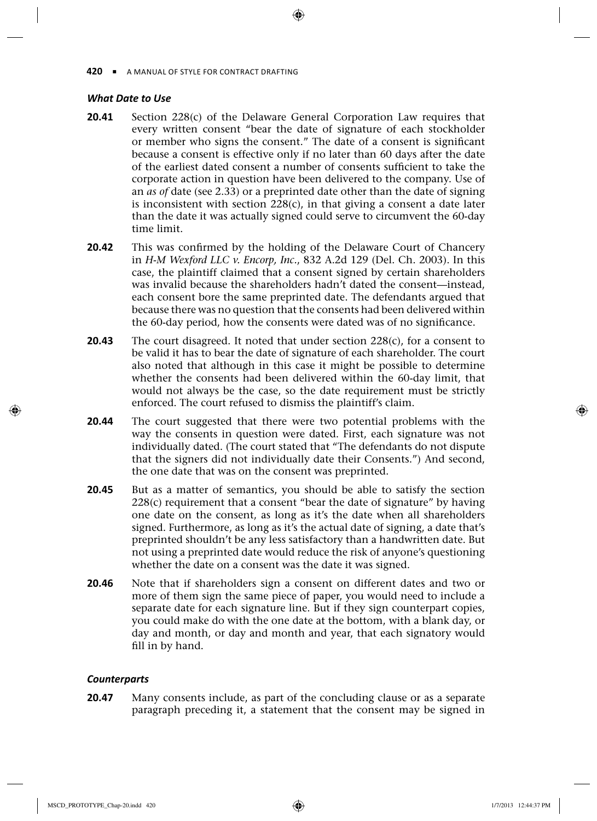## *What Date to Use*

- **20.41** Section 228(c) of the Delaware General Corporation Law requires that every written consent "bear the date of signature of each stockholder or member who signs the consent." The date of a consent is significant because a consent is effective only if no later than 60 days after the date of the earliest dated consent a number of consents sufficient to take the corporate action in question have been delivered to the company. Use of an *as of* date (see 2.33) or a preprinted date other than the date of signing is inconsistent with section 228(c), in that giving a consent a date later than the date it was actually signed could serve to circumvent the 60-day time limit.
- **20.42** This was confirmed by the holding of the Delaware Court of Chancery in *H-M Wexford LLC v. Encorp, Inc.*, 832 A.2d 129 (Del. Ch. 2003). In this case, the plaintiff claimed that a consent signed by certain shareholders was invalid because the shareholders hadn't dated the consent—instead, each consent bore the same preprinted date. The defendants argued that because there was no question that the consents had been delivered within the 60-day period, how the consents were dated was of no significance.
- **20.43** The court disagreed. It noted that under section 228(c), for a consent to be valid it has to bear the date of signature of each shareholder. The court also noted that although in this case it might be possible to determine whether the consents had been delivered within the 60-day limit, that would not always be the case, so the date requirement must be strictly enforced. The court refused to dismiss the plaintiff's claim.
- **20.44** The court suggested that there were two potential problems with the way the consents in question were dated. First, each signature was not individually dated. (The court stated that "The defendants do not dispute that the signers did not individually date their Consents.") And second, the one date that was on the consent was preprinted.
- **20.45** But as a matter of semantics, you should be able to satisfy the section 228(c) requirement that a consent "bear the date of signature" by having one date on the consent, as long as it's the date when all shareholders signed. Furthermore, as long as it's the actual date of signing, a date that's preprinted shouldn't be any less satisfactory than a handwritten date. But not using a preprinted date would reduce the risk of anyone's questioning whether the date on a consent was the date it was signed.
- **20.46** Note that if shareholders sign a consent on different dates and two or more of them sign the same piece of paper, you would need to include a separate date for each signature line. But if they sign counterpart copies, you could make do with the one date at the bottom, with a blank day, or day and month, or day and month and year, that each signatory would fill in by hand.

### *Counterparts*

**20.47** Many consents include, as part of the concluding clause or as a separate paragraph preceding it, a statement that the consent may be signed in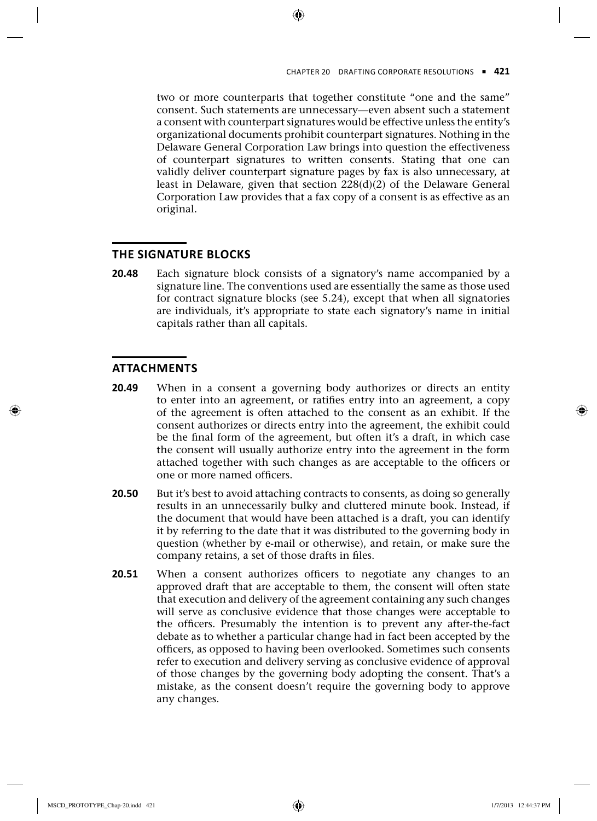two or more counterparts that together constitute "one and the same" consent. Such statements are unnecessary—even absent such a statement a consent with counterpart signatures would be effective unless the entity's organizational documents prohibit counterpart signatures. Nothing in the Delaware General Corporation Law brings into question the effectiveness of counterpart signatures to written consents. Stating that one can validly deliver counterpart signature pages by fax is also unnecessary, at least in Delaware, given that section 228(d)(2) of the Delaware General Corporation Law provides that a fax copy of a consent is as effective as an original.

## **THE SIGNATURE BLOCKS**

**20.48** Each signature block consists of a signatory's name accompanied by a signature line. The conventions used are essentially the same as those used for contract signature blocks (see 5.24), except that when all signatories are individuals, it's appropriate to state each signatory's name in initial capitals rather than all capitals.

### **ATTACHMENTS**

- **20.49** When in a consent a governing body authorizes or directs an entity to enter into an agreement, or ratifies entry into an agreement, a copy of the agreement is often attached to the consent as an exhibit. If the consent authorizes or directs entry into the agreement, the exhibit could be the final form of the agreement, but often it's a draft, in which case the consent will usually authorize entry into the agreement in the form attached together with such changes as are acceptable to the officers or one or more named officers.
- **20.50** But it's best to avoid attaching contracts to consents, as doing so generally results in an unnecessarily bulky and cluttered minute book. Instead, if the document that would have been attached is a draft, you can identify it by referring to the date that it was distributed to the governing body in question (whether by e-mail or otherwise), and retain, or make sure the company retains, a set of those drafts in files.
- **20.51** When a consent authorizes officers to negotiate any changes to an approved draft that are acceptable to them, the consent will often state that execution and delivery of the agreement containing any such changes will serve as conclusive evidence that those changes were acceptable to the officers. Presumably the intention is to prevent any after-the-fact debate as to whether a particular change had in fact been accepted by the officers, as opposed to having been overlooked. Sometimes such consents refer to execution and delivery serving as conclusive evidence of approval of those changes by the governing body adopting the consent. That's a mistake, as the consent doesn't require the governing body to approve any changes.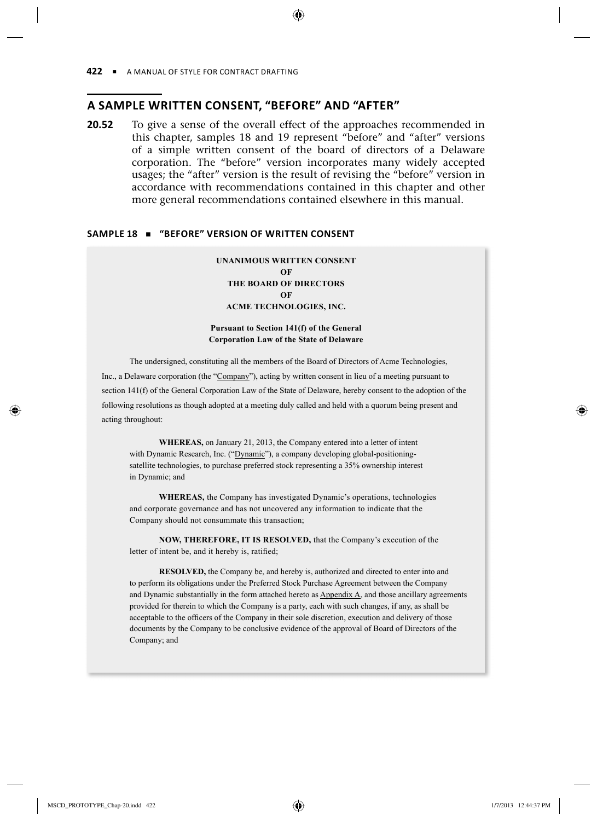## **A SAMPLE WRITTEN CONSENT, "BEFORE" AND "AFTER"**

**20.52** To give a sense of the overall effect of the approaches recommended in this chapter, samples 18 and 19 represent "before" and "after" versions of a simple written consent of the board of directors of a Delaware corporation. The "before" version incorporates many widely accepted usages; the "after" version is the result of revising the "before" version in accordance with recommendations contained in this chapter and other more general recommendations contained elsewhere in this manual.

#### **SAMPLE 18 "BEFORE" VERSION OF WRITTEN CONSENT**

**UNANIMOUS WRITTEN CONSENT OF THE BOARD OF DIRECTORS OF ACME TECHNOLOGIES, INC.**

**Pursuant to Section 141(f) of the General Corporation Law of the State of Delaware**

 The undersigned, constituting all the members of the Board of Directors of Acme Technologies, Inc., a Delaware corporation (the "Company"), acting by written consent in lieu of a meeting pursuant to section 141(f) of the General Corporation Law of the State of Delaware, hereby consent to the adoption of the following resolutions as though adopted at a meeting duly called and held with a quorum being present and acting throughout:

 **WHEREAS,** on January 21, 2013, the Company entered into a letter of intent with Dynamic Research, Inc. ("Dynamic"), a company developing global-positioningsatellite technologies, to purchase preferred stock representing a 35% ownership interest in Dynamic; and

 **WHEREAS,** the Company has investigated Dynamic's operations, technologies and corporate governance and has not uncovered any information to indicate that the Company should not consummate this transaction;

 **NOW, THEREFORE, IT IS RESOLVED,** that the Company's execution of the letter of intent be, and it hereby is, ratified;

 **RESOLVED,** the Company be, and hereby is, authorized and directed to enter into and to perform its obligations under the Preferred Stock Purchase Agreement between the Company and Dynamic substantially in the form attached hereto as Appendix A, and those ancillary agreements provided for therein to which the Company is a party, each with such changes, if any, as shall be acceptable to the officers of the Company in their sole discretion, execution and delivery of those documents by the Company to be conclusive evidence of the approval of Board of Directors of the Company; and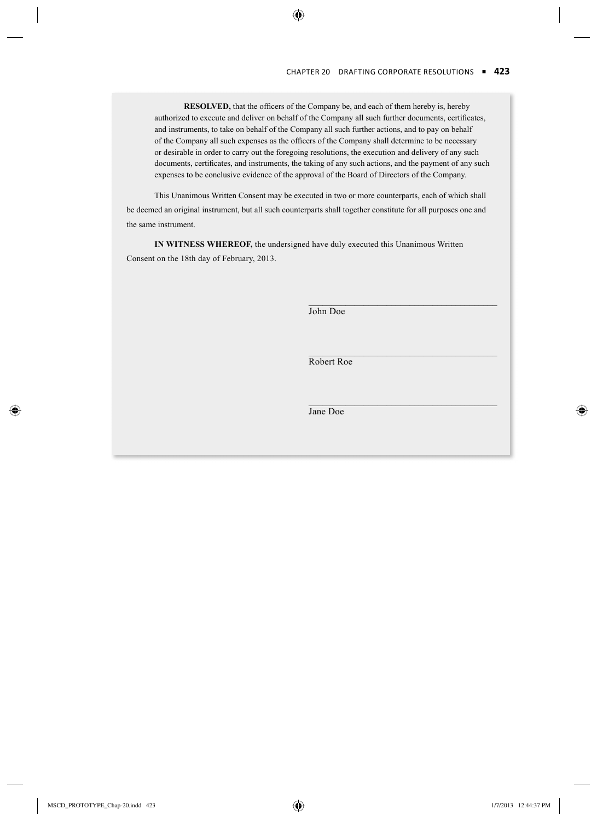**RESOLVED,** that the officers of the Company be, and each of them hereby is, hereby authorized to execute and deliver on behalf of the Company all such further documents, certificates, and instruments, to take on behalf of the Company all such further actions, and to pay on behalf of the Company all such expenses as the officers of the Company shall determine to be necessary or desirable in order to carry out the foregoing resolutions, the execution and delivery of any such documents, certificates, and instruments, the taking of any such actions, and the payment of any such expenses to be conclusive evidence of the approval of the Board of Directors of the Company.

This Unanimous Written Consent may be executed in two or more counterparts, each of which shall be deemed an original instrument, but all such counterparts shall together constitute for all purposes one and the same instrument.

 **IN WITNESS WHEREOF,** the undersigned have duly executed this Unanimous Written Consent on the 18th day of February, 2013.

\_\_\_\_\_\_\_\_\_\_\_\_\_\_\_\_\_\_\_\_\_\_\_\_\_\_\_\_\_\_\_\_\_\_\_\_\_\_\_\_\_ John Doe

Robert Roe

Jane Doe